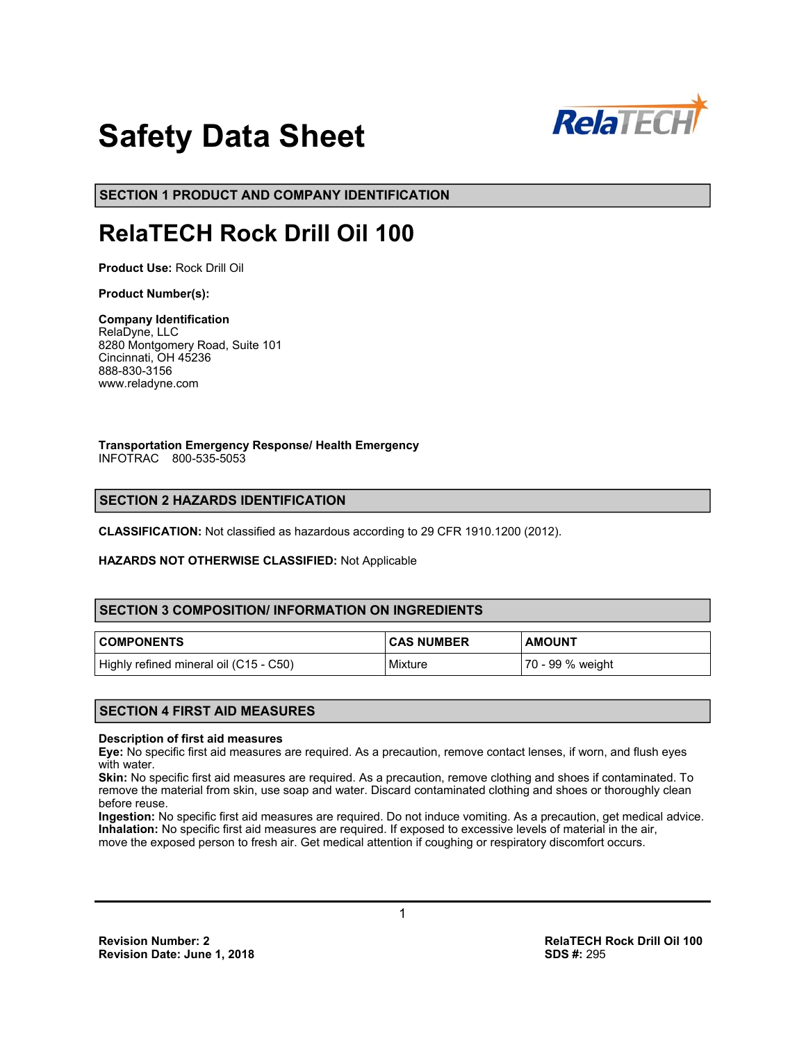

# **Safety Data Sheet**

**SECTION 1 PRODUCT AND COMPANY IDENTIFICATION**

# **RelaTECH Rock Drill Oil 100**

**Product Use:** Rock Drill Oil

#### **Product Number(s):**

# **Company Identification**

RelaDyne, LLC 8280 Montgomery Road, Suite 101 Cincinnati, OH 45236 888-830-3156 www.reladyne.com

**Transportation Emergency Response/ Health Emergency**  INFOTRAC 800-535-5053

# **SECTION 2 HAZARDS IDENTIFICATION**

**CLASSIFICATION:** Not classified as hazardous according to 29 CFR 1910.1200 (2012).

#### **HAZARDS NOT OTHERWISE CLASSIFIED:** Not Applicable

# **SECTION 3 COMPOSITION/ INFORMATION ON INGREDIENTS**

| <b>COMPONENTS</b>                      | <b>CAS NUMBER</b> | <b>AMOUNT</b>    |
|----------------------------------------|-------------------|------------------|
| Highly refined mineral oil (C15 - C50) | Mixture           | 70 - 99 % weight |

# **SECTION 4 FIRST AID MEASURES**

#### **Description of first aid measures**

**Eye:** No specific first aid measures are required. As a precaution, remove contact lenses, if worn, and flush eyes with water.

**Skin:** No specific first aid measures are required. As a precaution, remove clothing and shoes if contaminated. To remove the material from skin, use soap and water. Discard contaminated clothing and shoes or thoroughly clean before reuse.

**Ingestion:** No specific first aid measures are required. Do not induce vomiting. As a precaution, get medical advice. **Inhalation:** No specific first aid measures are required. If exposed to excessive levels of material in the air, move the exposed person to fresh air. Get medical attention if coughing or respiratory discomfort occurs.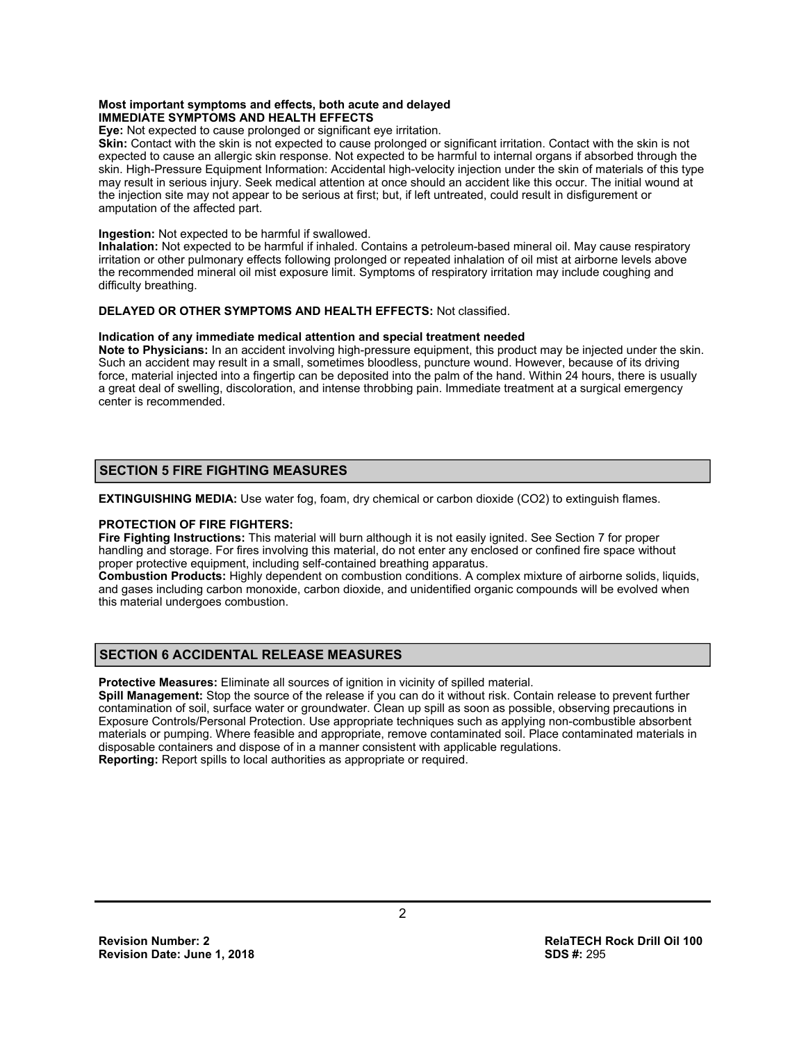#### **Most important symptoms and effects, both acute and delayed IMMEDIATE SYMPTOMS AND HEALTH EFFECTS**

**Eye:** Not expected to cause prolonged or significant eye irritation.

**Skin:** Contact with the skin is not expected to cause prolonged or significant irritation. Contact with the skin is not expected to cause an allergic skin response. Not expected to be harmful to internal organs if absorbed through the skin. High-Pressure Equipment Information: Accidental high-velocity injection under the skin of materials of this type may result in serious injury. Seek medical attention at once should an accident like this occur. The initial wound at the injection site may not appear to be serious at first; but, if left untreated, could result in disfigurement or amputation of the affected part.

#### **Ingestion:** Not expected to be harmful if swallowed.

**Inhalation:** Not expected to be harmful if inhaled. Contains a petroleum-based mineral oil. May cause respiratory irritation or other pulmonary effects following prolonged or repeated inhalation of oil mist at airborne levels above the recommended mineral oil mist exposure limit. Symptoms of respiratory irritation may include coughing and difficulty breathing.

#### **DELAYED OR OTHER SYMPTOMS AND HEALTH EFFECTS:** Not classified.

#### **Indication of any immediate medical attention and special treatment needed**

**Note to Physicians:** In an accident involving high-pressure equipment, this product may be injected under the skin. Such an accident may result in a small, sometimes bloodless, puncture wound. However, because of its driving force, material injected into a fingertip can be deposited into the palm of the hand. Within 24 hours, there is usually a great deal of swelling, discoloration, and intense throbbing pain. Immediate treatment at a surgical emergency center is recommended.

# **SECTION 5 FIRE FIGHTING MEASURES**

**EXTINGUISHING MEDIA:** Use water fog, foam, dry chemical or carbon dioxide (CO2) to extinguish flames.

#### **PROTECTION OF FIRE FIGHTERS:**

**Fire Fighting Instructions:** This material will burn although it is not easily ignited. See Section 7 for proper handling and storage. For fires involving this material, do not enter any enclosed or confined fire space without proper protective equipment, including self-contained breathing apparatus.

**Combustion Products:** Highly dependent on combustion conditions. A complex mixture of airborne solids, liquids, and gases including carbon monoxide, carbon dioxide, and unidentified organic compounds will be evolved when this material undergoes combustion.

# **SECTION 6 ACCIDENTAL RELEASE MEASURES**

**Protective Measures:** Eliminate all sources of ignition in vicinity of spilled material.

**Spill Management:** Stop the source of the release if you can do it without risk. Contain release to prevent further contamination of soil, surface water or groundwater. Clean up spill as soon as possible, observing precautions in Exposure Controls/Personal Protection. Use appropriate techniques such as applying non-combustible absorbent materials or pumping. Where feasible and appropriate, remove contaminated soil. Place contaminated materials in disposable containers and dispose of in a manner consistent with applicable regulations. **Reporting:** Report spills to local authorities as appropriate or required.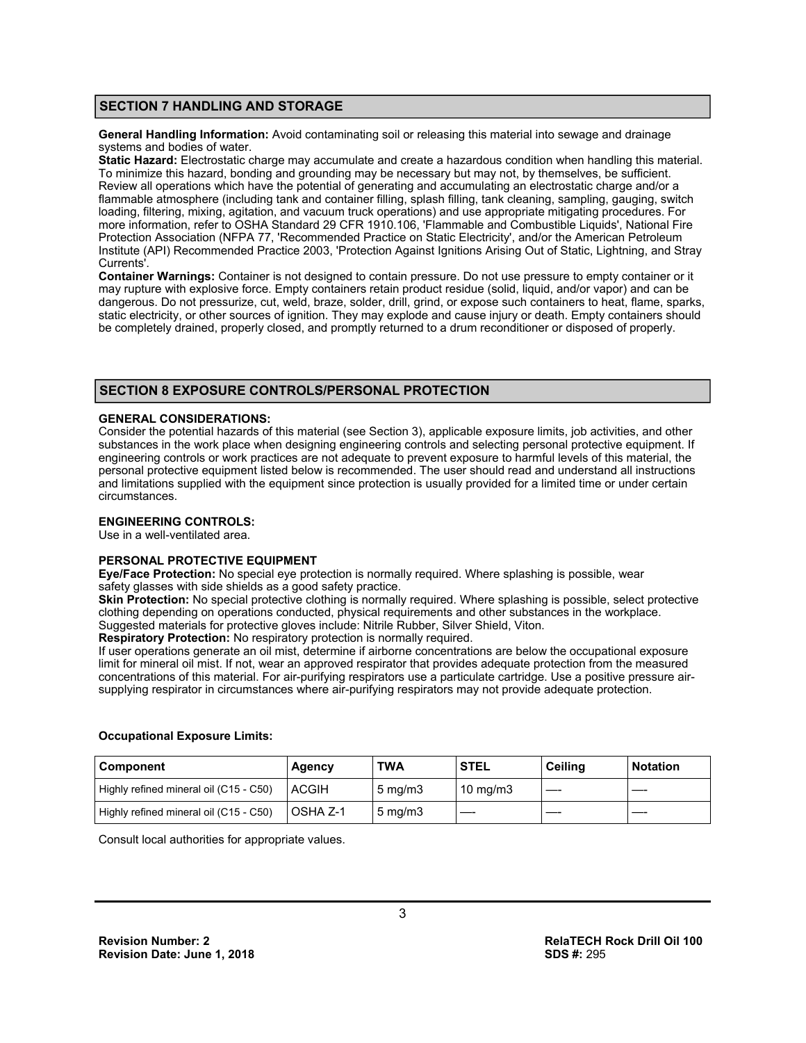# **SECTION 7 HANDLING AND STORAGE**

**General Handling Information:** Avoid contaminating soil or releasing this material into sewage and drainage systems and bodies of water.

**Static Hazard:** Electrostatic charge may accumulate and create a hazardous condition when handling this material. To minimize this hazard, bonding and grounding may be necessary but may not, by themselves, be sufficient. Review all operations which have the potential of generating and accumulating an electrostatic charge and/or a flammable atmosphere (including tank and container filling, splash filling, tank cleaning, sampling, gauging, switch loading, filtering, mixing, agitation, and vacuum truck operations) and use appropriate mitigating procedures. For more information, refer to OSHA Standard 29 CFR 1910.106, 'Flammable and Combustible Liquids', National Fire Protection Association (NFPA 77, 'Recommended Practice on Static Electricity', and/or the American Petroleum Institute (API) Recommended Practice 2003, 'Protection Against Ignitions Arising Out of Static, Lightning, and Stray Currents'.

**Container Warnings:** Container is not designed to contain pressure. Do not use pressure to empty container or it may rupture with explosive force. Empty containers retain product residue (solid, liquid, and/or vapor) and can be dangerous. Do not pressurize, cut, weld, braze, solder, drill, grind, or expose such containers to heat, flame, sparks, static electricity, or other sources of ignition. They may explode and cause injury or death. Empty containers should be completely drained, properly closed, and promptly returned to a drum reconditioner or disposed of properly.

## **SECTION 8 EXPOSURE CONTROLS/PERSONAL PROTECTION**

#### **GENERAL CONSIDERATIONS:**

Consider the potential hazards of this material (see Section 3), applicable exposure limits, job activities, and other substances in the work place when designing engineering controls and selecting personal protective equipment. If engineering controls or work practices are not adequate to prevent exposure to harmful levels of this material, the personal protective equipment listed below is recommended. The user should read and understand all instructions and limitations supplied with the equipment since protection is usually provided for a limited time or under certain circumstances.

#### **ENGINEERING CONTROLS:**

Use in a well-ventilated area.

#### **PERSONAL PROTECTIVE EQUIPMENT**

**Eye/Face Protection:** No special eye protection is normally required. Where splashing is possible, wear safety glasses with side shields as a good safety practice.

**Skin Protection:** No special protective clothing is normally required. Where splashing is possible, select protective clothing depending on operations conducted, physical requirements and other substances in the workplace. Suggested materials for protective gloves include: Nitrile Rubber, Silver Shield, Viton.

**Respiratory Protection:** No respiratory protection is normally required.

If user operations generate an oil mist, determine if airborne concentrations are below the occupational exposure limit for mineral oil mist. If not, wear an approved respirator that provides adequate protection from the measured concentrations of this material. For air-purifying respirators use a particulate cartridge. Use a positive pressure airsupplying respirator in circumstances where air-purifying respirators may not provide adequate protection.

#### **Occupational Exposure Limits:**

| Component                              | Agency       | <b>TWA</b>          | <b>STEL</b>       | Ceilina | <b>Notation</b> |
|----------------------------------------|--------------|---------------------|-------------------|---------|-----------------|
| Highly refined mineral oil (C15 - C50) | <b>ACGIH</b> | $5 \,\mathrm{mq/m}$ | $10 \text{ mg/m}$ |         |                 |
| Highly refined mineral oil (C15 - C50) | OSHA Z-1     | $5 \text{ mg/m}$    |                   |         |                 |

Consult local authorities for appropriate values.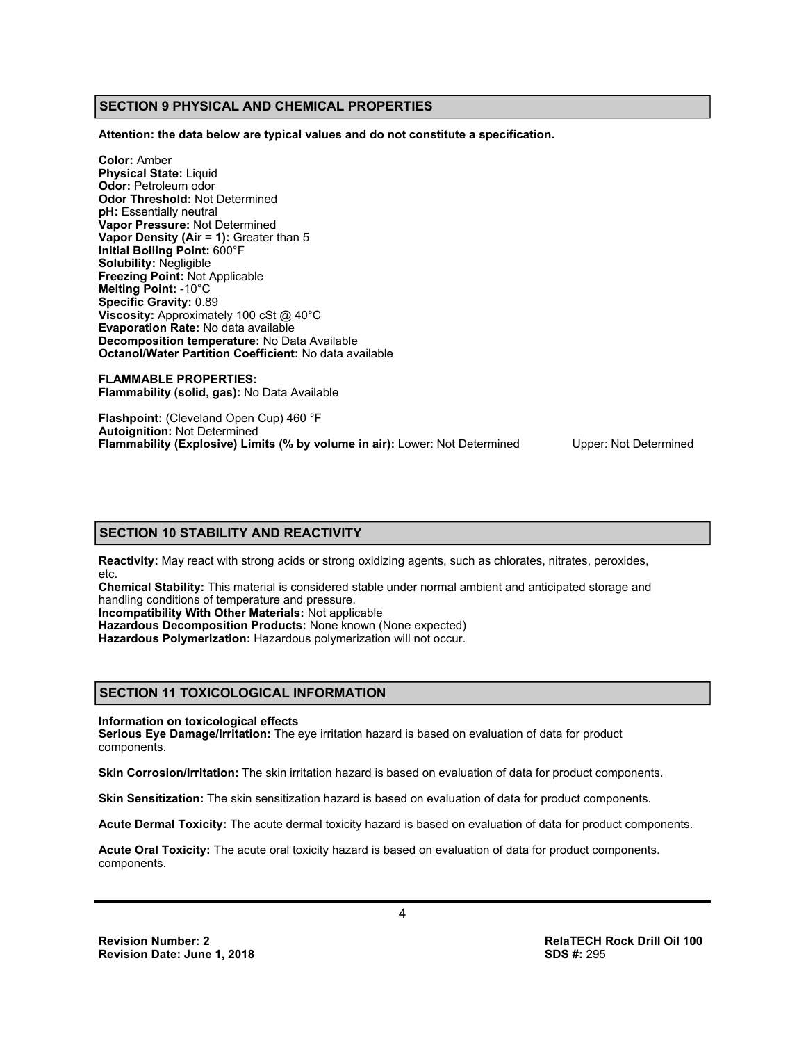# **SECTION 9 PHYSICAL AND CHEMICAL PROPERTIES**

**Attention: the data below are typical values and do not constitute a specification.** 

**Color:** Amber **Physical State:** Liquid **Odor:** Petroleum odor **Odor Threshold:** Not Determined **pH:** Essentially neutral **Vapor Pressure:** Not Determined **Vapor Density (Air = 1):** Greater than 5 **Initial Boiling Point:** 600°F **Solubility:** Negligible **Freezing Point:** Not Applicable **Melting Point:** -10°C **Specific Gravity:** 0.89 **Viscosity:** Approximately 100 cSt @ 40°C **Evaporation Rate:** No data available **Decomposition temperature:** No Data Available **Octanol/Water Partition Coefficient:** No data available

**FLAMMABLE PROPERTIES: Flammability (solid, gas):** No Data Available

**Flashpoint:** (Cleveland Open Cup) 460 °F **Autoignition:** Not Determined **Flammability (Explosive) Limits (% by volume in air):** Lower: Not Determined Upper: Not Determined

#### **SECTION 10 STABILITY AND REACTIVITY**

**Reactivity:** May react with strong acids or strong oxidizing agents, such as chlorates, nitrates, peroxides, etc.

**Chemical Stability:** This material is considered stable under normal ambient and anticipated storage and handling conditions of temperature and pressure.

**Incompatibility With Other Materials:** Not applicable

**Hazardous Decomposition Products:** None known (None expected)

**Hazardous Polymerization:** Hazardous polymerization will not occur.

#### **SECTION 11 TOXICOLOGICAL INFORMATION**

#### **Information on toxicological effects**

**Serious Eye Damage/Irritation:** The eye irritation hazard is based on evaluation of data for product components.

**Skin Corrosion/Irritation:** The skin irritation hazard is based on evaluation of data for product components.

**Skin Sensitization:** The skin sensitization hazard is based on evaluation of data for product components.

**Acute Dermal Toxicity:** The acute dermal toxicity hazard is based on evaluation of data for product components.

**Acute Oral Toxicity:** The acute oral toxicity hazard is based on evaluation of data for product components. components.

**Revision Date: June 1, 2018** 

**Revision Number: 2 RelaTECH Rock Drill Oil 100**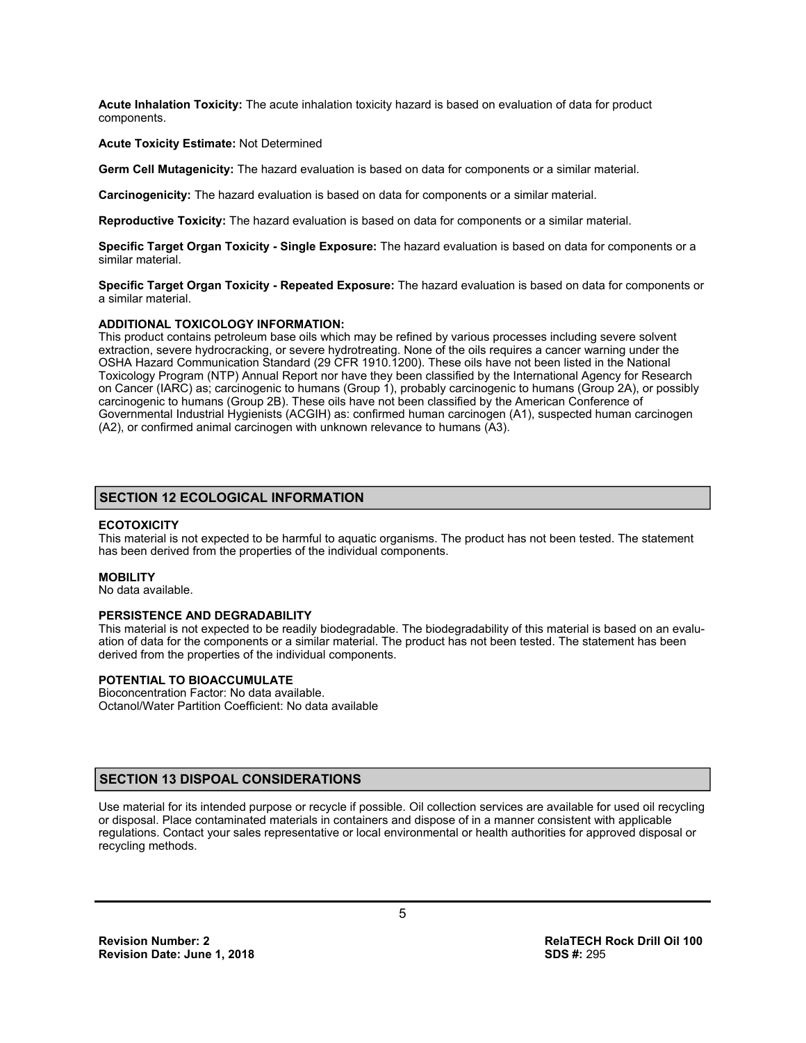**Acute Inhalation Toxicity:** The acute inhalation toxicity hazard is based on evaluation of data for product components.

#### **Acute Toxicity Estimate:** Not Determined

**Germ Cell Mutagenicity:** The hazard evaluation is based on data for components or a similar material.

**Carcinogenicity:** The hazard evaluation is based on data for components or a similar material.

**Reproductive Toxicity:** The hazard evaluation is based on data for components or a similar material.

**Specific Target Organ Toxicity - Single Exposure:** The hazard evaluation is based on data for components or a similar material.

**Specific Target Organ Toxicity - Repeated Exposure:** The hazard evaluation is based on data for components or a similar material.

#### **ADDITIONAL TOXICOLOGY INFORMATION:**

This product contains petroleum base oils which may be refined by various processes including severe solvent extraction, severe hydrocracking, or severe hydrotreating. None of the oils requires a cancer warning under the OSHA Hazard Communication Standard (29 CFR 1910.1200). These oils have not been listed in the National Toxicology Program (NTP) Annual Report nor have they been classified by the International Agency for Research on Cancer (IARC) as; carcinogenic to humans (Group 1), probably carcinogenic to humans (Group 2A), or possibly carcinogenic to humans (Group 2B). These oils have not been classified by the American Conference of Governmental Industrial Hygienists (ACGIH) as: confirmed human carcinogen (A1), suspected human carcinogen (A2), or confirmed animal carcinogen with unknown relevance to humans (A3).

# **SECTION 12 ECOLOGICAL INFORMATION**

#### **ECOTOXICITY**

This material is not expected to be harmful to aquatic organisms. The product has not been tested. The statement has been derived from the properties of the individual components.

#### **MOBILITY**

No data available.

#### **PERSISTENCE AND DEGRADABILITY**

This material is not expected to be readily biodegradable. The biodegradability of this material is based on an evaluation of data for the components or a similar material. The product has not been tested. The statement has been derived from the properties of the individual components.

#### **POTENTIAL TO BIOACCUMULATE**

Bioconcentration Factor: No data available. Octanol/Water Partition Coefficient: No data available

# **SECTION 13 DISPOAL CONSIDERATIONS**

Use material for its intended purpose or recycle if possible. Oil collection services are available for used oil recycling or disposal. Place contaminated materials in containers and dispose of in a manner consistent with applicable regulations. Contact your sales representative or local environmental or health authorities for approved disposal or recycling methods.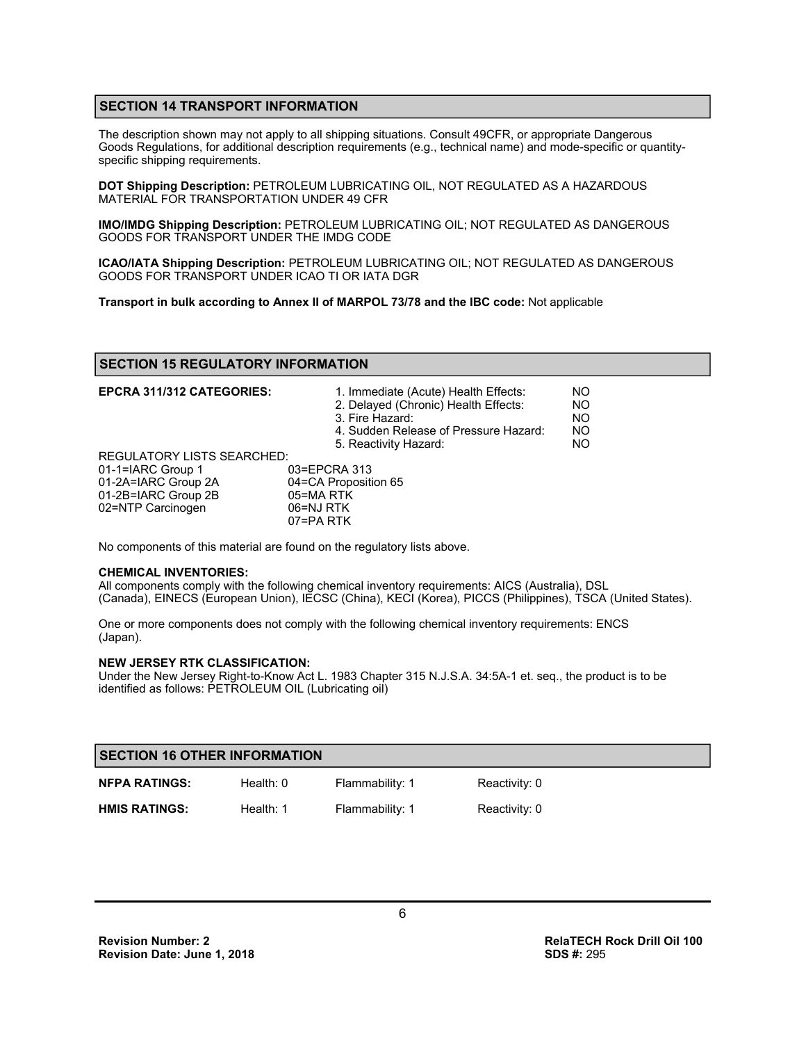# **SECTION 14 TRANSPORT INFORMATION**

The description shown may not apply to all shipping situations. Consult 49CFR, or appropriate Dangerous Goods Regulations, for additional description requirements (e.g., technical name) and mode-specific or quantityspecific shipping requirements.

**DOT Shipping Description:** PETROLEUM LUBRICATING OIL, NOT REGULATED AS A HAZARDOUS MATERIAL FOR TRANSPORTATION UNDER 49 CFR

**IMO/IMDG Shipping Description:** PETROLEUM LUBRICATING OIL; NOT REGULATED AS DANGEROUS GOODS FOR TRANSPORT UNDER THE IMDG CODE

**ICAO/IATA Shipping Description:** PETROLEUM LUBRICATING OIL; NOT REGULATED AS DANGEROUS GOODS FOR TRANSPORT UNDER ICAO TI OR IATA DGR

**Transport in bulk according to Annex II of MARPOL 73/78 and the IBC code:** Not applicable

## **SECTION 15 REGULATORY INFORMATION**

| <b>EPCRA 311/312 CATEGORIES:</b>  | 1. Immediate (Acute) Health Effects:<br>2. Delayed (Chronic) Health Effects:<br>3. Fire Hazard:<br>4. Sudden Release of Pressure Hazard:<br>5. Reactivity Hazard: | NO.<br><b>NO</b><br>NO.<br>NO.<br>NO. |
|-----------------------------------|-------------------------------------------------------------------------------------------------------------------------------------------------------------------|---------------------------------------|
| <b>REGULATORY LISTS SEARCHED:</b> |                                                                                                                                                                   |                                       |
| 01-1=IARC Group 1                 | 03=EPCRA 313                                                                                                                                                      |                                       |
| 01-2A=IARC Group 2A               | 04=CA Proposition 65                                                                                                                                              |                                       |
| 01-2B=IARC Group 2B               | 05=MA RTK                                                                                                                                                         |                                       |
| 02=NTP Carcinogen                 | 06=NJ RTK                                                                                                                                                         |                                       |
|                                   | 07=PARTK                                                                                                                                                          |                                       |

No components of this material are found on the regulatory lists above.

#### **CHEMICAL INVENTORIES:**

All components comply with the following chemical inventory requirements: AICS (Australia), DSL (Canada), EINECS (European Union), IECSC (China), KECI (Korea), PICCS (Philippines), TSCA (United States).

One or more components does not comply with the following chemical inventory requirements: ENCS (Japan).

#### **NEW JERSEY RTK CLASSIFICATION:**

Under the New Jersey Right-to-Know Act L. 1983 Chapter 315 N.J.S.A. 34:5A-1 et. seq., the product is to be identified as follows: PETROLEUM OIL (Lubricating oil)

| <b>SECTION 16 OTHER INFORMATION</b> |             |                 |               |  |
|-------------------------------------|-------------|-----------------|---------------|--|
| <b>NFPA RATINGS:</b>                | Health: $0$ | Flammability: 1 | Reactivity: 0 |  |
| <b>HMIS RATINGS:</b>                | Health: 1   | Flammability: 1 | Reactivity: 0 |  |